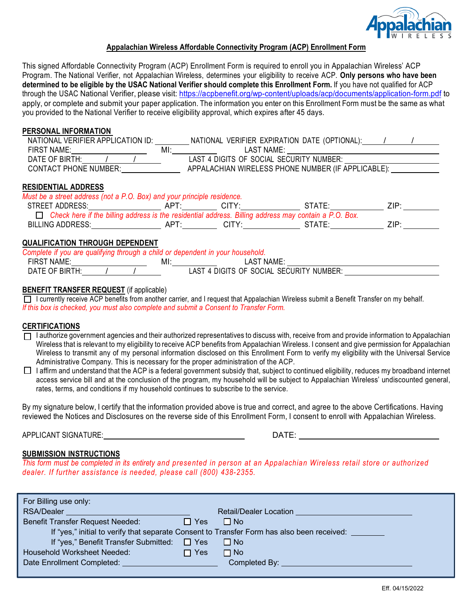

# **Appalachian Wireless Affordable Connectivity Program (ACP) Enrollment Form**

This signed Affordable Connectivity Program (ACP) Enrollment Form is required to enroll you in Appalachian Wireless' ACP Program. The National Verifier, not Appalachian Wireless, determines your eligibility to receive ACP. **Only persons who have been determined to be eligible by the USAC National Verifier should complete this Enrollment Form.** If you have not qualified for ACP through the USAC National Verifier, please visit: https://acpbenefit.org/wp-content/uploads/acp/documents/application-form.pdf to apply, or complete and submit your paper application. The information you enter on this Enrollment Form must be the same as what you provided to the National Verifier to receive eligibility approval, which expires after 45 days.

# **PERSONAL INFORMATION**

| NATIONAL VERIFIER APPLICATION ID: | VERIFIER EXPIRATION DATE (OPTIONAL):<br>NATIONAL   |  |
|-----------------------------------|----------------------------------------------------|--|
| FIRST NAME:                       | MI:<br>LAST NAME:                                  |  |
| DATE OF BIRTH:                    | LAST 4 DIGITS OF SOCIAL SECURITY NUMBER:           |  |
| CONTACT PHONE NUMBER:             | APPALACHIAN WIRELESS PHONE NUMBER (IF APPLICABLE): |  |

# **RESIDENTIAL ADDRESS**

| Must be a street address (not a P.O. Box) and your principle residence.                                      |            |                   |         |      |  |  |
|--------------------------------------------------------------------------------------------------------------|------------|-------------------|---------|------|--|--|
| STREET ADDRESS:                                                                                              | APT        | CITY <sup>.</sup> | STATE:  | 7IP· |  |  |
| $\Box$ Check here if the billing address is the residential address. Billing address may contain a P.O. Box. |            |                   |         |      |  |  |
| <b>BILLING ADDRESS:</b>                                                                                      | <b>APT</b> | CITY.             | STATE : | 7IP· |  |  |

# **QUALIFICATION THROUGH DEPENDENT**

| Complete if you are qualifying through a child or dependent in your household. |  |  |     |                                          |  |  |  |
|--------------------------------------------------------------------------------|--|--|-----|------------------------------------------|--|--|--|
| <b>FIRST NAME:</b>                                                             |  |  | MI. | LAST NAME:                               |  |  |  |
| DATE OF BIRTH:                                                                 |  |  |     | LAST 4 DIGITS OF SOCIAL SECURITY NUMBER: |  |  |  |

# **BENEFIT TRANSFER REQUEST** (if applicable)

I currently receive ACP benefits from another carrier, and I request that Appalachian Wireless submit a Benefit Transfer on my behalf. *If this box is checked, you must also complete and submit a Consent to Transfer Form.* 

# **CERTIFICATIONS**

- $\Box$  I authorize government agencies and their authorized representatives to discuss with, receive from and provide information to Appalachian Wireless that is relevant to my eligibility to receive ACP benefits from Appalachian Wireless. I consent and give permission for Appalachian Wireless to transmit any of my personal information disclosed on this Enrollment Form to verify my eligibility with the Universal Service Administrative Company. This is necessary for the proper administration of the ACP.
- $\Box$  I affirm and understand that the ACP is a federal government subsidy that, subject to continued eligibility, reduces my broadband internet access service bill and at the conclusion of the program, my household will be subject to Appalachian Wireless' undiscounted general, rates, terms, and conditions if my household continues to subscribe to the service.

By my signature below, I certify that the information provided above is true and correct, and agree to the above Certifications. Having reviewed the Notices and Disclosures on the reverse side of this Enrollment Form, I consent to enroll with Appalachian Wireless.

APPLICANT SIGNATURE: DATE:

# **SUBMISSION INSTRUCTIONS**

*This form must be completed in its entirety and presented in person at an Appalachian Wireless retail store or authorized dealer. If further assistance is needed, please call (800) 438-2355.*

| For Billing use only:                                                                      |            |                        |  |  |  |
|--------------------------------------------------------------------------------------------|------------|------------------------|--|--|--|
| <b>RSA/Dealer</b>                                                                          |            | Retail/Dealer Location |  |  |  |
| <b>Benefit Transfer Request Needed:</b>                                                    | $\Box$ Yes | $\Box$ No              |  |  |  |
| If "yes," initial to verify that separate Consent to Transfer Form has also been received: |            |                        |  |  |  |
| If "yes," Benefit Transfer Submitted: □ Yes                                                |            | I I No                 |  |  |  |
| Household Worksheet Needed:                                                                | $\Box$ Yes | $\Box$ No              |  |  |  |
| Date Enrollment Completed:                                                                 |            | Completed By:          |  |  |  |